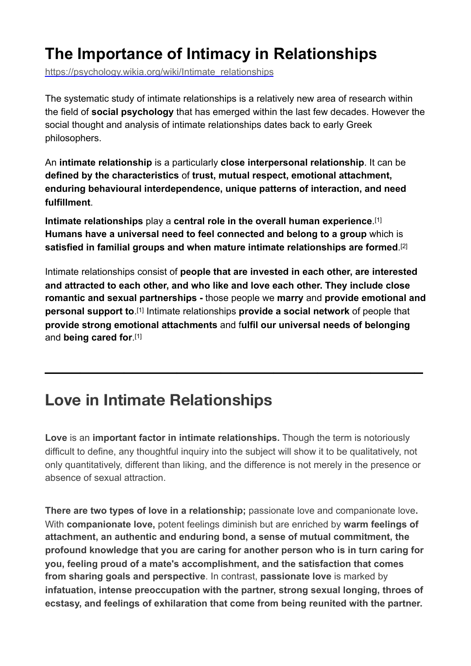# **The Importance of Intimacy in Relationships**

[https://psychology.wikia.org/wiki/Intimate\\_relationships](https://psychology.wikia.org/wiki/Intimate_relationships)

The systematic study of intimate relationships is a relatively new area of research within the field of **[social psychology](https://psychology.wikia.org/wiki/Social_psychology)** that has emerged within the last few decades. However the social thought and analysis of intimate relationships dates back to early Greek philosophers.

An **intimate relationship** is a particularly **close [interpersonal relationship](https://psychology.wikia.org/wiki/Interpersonal_relationship)**. It can be **defined by the characteristics** of **trust, mutual respect, emotional attachment, enduring behavioural interdependence, unique patterns of interaction, and need fulfillment**.

**Intimate relationships** play a **central role in the overall human experience**.[\[1\]](https://psychology.wikia.org/wiki/Intimate_relationships#cite_note-MilPerBre-0) **Humans have a universal need to feel connected and belong to a group** which is **satisfied in familial groups and when mature intimate relationships are formed**[.\[2\]](https://psychology.wikia.org/wiki/Intimate_relationships#cite_note-Perlman-1)

Intimate relationships consist of **people that are invested in each other, are interested and attracted to each other, and who like and love each other. They include close romantic and sexual partnerships -** those people we **marry** and **provide emotional and personal support to**[.\[1\]](https://psychology.wikia.org/wiki/Intimate_relationships#cite_note-MilPerBre-0) Intimate relationships **provide a social network** of people that **provide strong emotional [attachments](https://psychology.wikia.org/wiki/Attachment_(psychology))** and f**ulfil our universal needs of belonging** and **being cared for**[.\[1\]](https://psychology.wikia.org/wiki/Intimate_relationships#cite_note-MilPerBre-0)

**\_\_\_\_\_\_\_\_\_\_\_\_\_\_\_\_\_\_\_\_\_\_\_\_\_\_\_\_\_\_\_\_\_\_\_\_\_\_\_\_\_\_\_** 

### **Love in Intimate Relationships**

**Love** is an **important factor in intimate relationships.** Though the term is notoriously difficult to define, any thoughtful inquiry into the subject will show it to be qualitatively, not only quantitatively, different than liking, and the difference is not merely in the presence or absence of sexual attraction.

**There are two types of love in a relationship;** passionate love and companionate love**.** With **companionate love,** potent feelings diminish but are enriched by **warm feelings of attachment, an authentic and enduring bond, a sense of mutual commitment, the profound knowledge that you are caring for another person who is in turn caring for you, feeling proud of a mate's accomplishment, and the satisfaction that comes from sharing goals and perspective**. In contrast, **passionate love** is marked by **infatuation, intense preoccupation with the partner, strong sexual longing, throes of ecstasy, and feelings of exhilaration that come from being reunited with the partner.**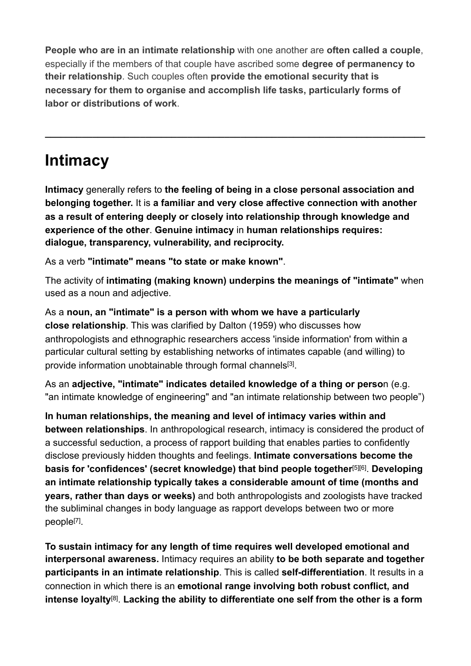**People who are in an intimate relationship** with one another are **often called a couple**, especially if the members of that couple have ascribed some **degree of permanency to their relationship**. Such couples often **provide the emotional security that is necessary for them to organise and accomplish life tasks, particularly forms of labor or distributions of work**.

**\_\_\_\_\_\_\_\_\_\_\_\_\_\_\_\_\_\_\_\_\_\_\_\_\_\_\_\_\_\_\_\_\_\_\_\_\_\_\_\_\_\_\_\_\_\_\_\_\_\_\_\_\_\_\_\_\_\_\_\_\_\_\_\_\_\_\_\_\_\_\_\_** 

## **Intimacy**

**Intimacy** generally refers to **the [feeling](https://psychology.wikia.org/wiki/Emotion) of being in a close personal association and belonging together.** It is **a familiar and very close affective connection with another as a result of entering deeply or closely into [relationship](https://psychology.wikia.org/wiki/Intimate_relationship) through knowledge and experience of the other**. **Genuine intimacy** in **human relationships requires: dialogue, transparency, vulnerability, and reciprocity.** 

As a verb **"intimate" means "to state or make known"**.

The activity of **intimating (making known) underpins the meanings of "intimate"** when used as a noun and adjective.

As a **noun, an "intimate" is a person with whom we have a particularly close [relationship](https://psychology.wikia.org/wiki/Intimate_relationship)**. This was clarified by Dalton (1959) who discusses how anthropologists and ethnographic researchers access 'inside information' from within a particular cultural setting by establishing networks of intimates capable (and willing) to provide information unobtainable through formal channel[s\[3\]](https://psychology.wikia.org/wiki/Intimate_relationships#cite_note-2).

As an **adjective, "intimate" indicates detailed knowledge of a thing or perso**n (e.g. "an intimate knowledge of engineering" and "an intimate relationship between two people")

**In human relationships, the meaning and level of intimacy varies within and between [relationships](https://psychology.wikia.org/wiki/Interpersonal_relationship)**. In anthropological research, intimacy is considered the product of a successful [seduction](https://psychology.wikia.org/wiki/Seduction), a process of rapport building that enables parties to confidently disclose previously hidden thoughts and feelings. **Intimate conversations become the basis for 'confidences' (secret knowledge) that bind people together**[\[5\]](https://psychology.wikia.org/wiki/Intimate_relationships#cite_note-4)[\[6\]](https://psychology.wikia.org/wiki/Intimate_relationships#cite_note-5). **Developing an intimate relationship typically takes a considerable amount of time (months and years, rather than days or weeks)** and both [anthropologists](https://psychology.wikia.org/wiki/Anthropologists) and [zoologists](https://psychology.wikia.org/wiki/Zoologists) have tracked the subliminal changes in [body language](https://psychology.wikia.org/wiki/Body_language) as rapport develops between two or more peopl[e\[7\].](https://psychology.wikia.org/wiki/Intimate_relationships#cite_note-6)

**To sustain intimacy for any length of time requires well developed [emotional](https://psychology.wikia.org/wiki/Emotional) and interpersonal awareness.** Intimacy requires an ability **to be both separate and together participants in an intimate relationship**. This is called **[self-differentiation](https://psychology.wikia.org/wiki/Murray_Bowen)**. It results in a connection in which there is an **emotional range involving both robust conflict, and intense loyalty**[\[8\]](https://psychology.wikia.org/wiki/Intimate_relationships#cite_note-7). **Lacking the ability to differentiate one self from the other is a form**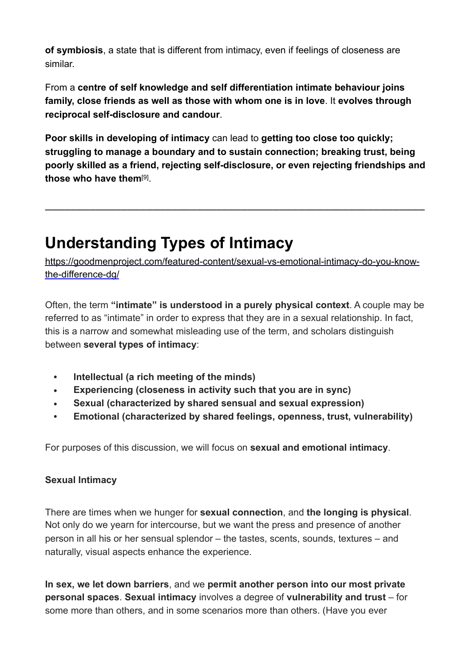**of [symbiosis](https://psychology.wikia.org/wiki/Symbiosis)**, a state that is different from intimacy, even if feelings of closeness are similar.

From a **centre of self knowledge and self differentiation intimate behaviour joins family, close friends as well as those with whom one is in love**. It **evolves through reciprocal [self-disclosure](https://psychology.wikia.org/wiki/Self-disclosure) and [candour](http://en.wiktionary.org/wiki/candour)**.

**Poor skills in developing of intimacy** can lead to **getting too close too quickly; struggling to manage a boundary and to sustain connection; breaking trust, being poorly skilled as a friend, rejecting self-disclosure, or even rejecting friendships and those who have them**[\[9\].](https://psychology.wikia.org/wiki/Intimate_relationships#cite_note-8)

**\_\_\_\_\_\_\_\_\_\_\_\_\_\_\_\_\_\_\_\_\_\_\_\_\_\_\_\_\_\_\_\_\_\_\_\_\_\_\_\_\_\_\_\_\_\_\_\_\_\_\_\_\_\_\_\_\_\_\_\_**

## **Understanding Types of Intimacy**

[https://goodmenproject.com/featured-content/sexual-vs-emotional-intimacy-do-you-know](https://goodmenproject.com/featured-content/sexual-vs-emotional-intimacy-do-you-know-the-difference-dg/)[the-difference-dg/](https://goodmenproject.com/featured-content/sexual-vs-emotional-intimacy-do-you-know-the-difference-dg/) 

Often, the term **"intimate" is understood in a purely physical context**. A couple may be referred to as "intimate" in order to express that they are in a sexual relationship. In fact, this is a narrow and somewhat misleading use of the term, and scholars distinguish between **several types of intimacy**:

- • **Intellectual (a rich meeting of the minds)**
- • **Experiencing (closeness in activity such that you are in sync)**
- • **Sexual (characterized by shared sensual and sexual expression)**
- • **Emotional (characterized by shared feelings, openness, trust, vulnerability)**

For purposes of this discussion, we will focus on **sexual and emotional intimacy**.

#### **Sexual Intimacy**

There are times when we hunger for **sexual connection**, and **the longing is physical**. Not only do we yearn for intercourse, but we want the press and presence of another person in all his or her sensual splendor – the tastes, scents, sounds, textures – and naturally, visual aspects enhance the experience.

**In sex, we let down barriers**, and we **permit another person into our most private personal spaces**. **Sexual intimacy** involves a degree of **vulnerability and trust** – for some more than others, and in some scenarios more than others. (Have you ever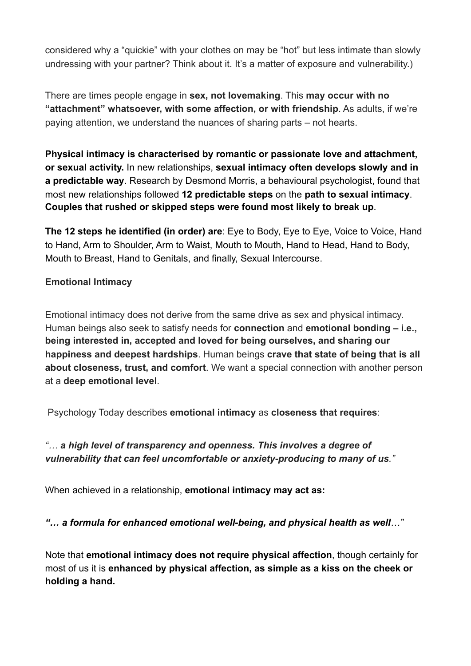considered why a "quickie" with your clothes on may be "hot" but less intimate than slowly undressing with your partner? Think about it. It's a matter of exposure and vulnerability.)

There are times people engage in **sex, not lovemaking**. This **may occur with no "attachment" whatsoever, with some affection, or with friendship**. As adults, if we're paying attention, we understand the nuances of sharing parts – not hearts.

**Physical intimacy is characterised by [romantic](https://psychology.wikia.org/wiki/Romantic_love) or [passionate](https://psychology.wikia.org/wiki/Limerence) [love](https://psychology.wikia.org/wiki/Love) and [attachment](https://psychology.wikia.org/wiki/Attachment_theory#Attachment_in_intimate_relationships), or [sexual activity.](https://psychology.wikia.org/wiki/Human_sexuality)** In new relationships, **sexual intimacy often develops slowly and in a predictable way**. Research by Desmond Morris, a behavioural psychologist, found that most new relationships followed **12 predictable steps** on the **path to sexual intimacy**. **Couples that rushed or skipped steps were found most likely to break up**.

**The 12 steps he identified (in order) are**: Eye to Body, Eye to Eye, Voice to Voice, Hand to Hand, Arm to Shoulder, Arm to Waist, Mouth to Mouth, Hand to Head, Hand to Body, Mouth to Breast, Hand to Genitals, and finally, Sexual Intercourse.

#### **Emotional Intimacy**

Emotional intimacy does not derive from the same drive as sex and physical intimacy. Human beings also seek to satisfy needs for **connection** and **emotional bonding – i.e., being interested in, accepted and loved for being ourselves, and sharing our happiness and deepest hardships**. Human beings **crave that state of being that is all about closeness, trust, and comfort**. We want a special connection with another person at a **deep emotional level**.

Psychology Today describes **emotional intimacy** as **closeness that requires**:

### *"… a high level of transparency and openness. This involves a degree of vulnerability that can feel uncomfortable or anxiety-producing to many of us."*

When achieved in a relationship, **emotional intimacy may act as:** 

*"… a formula for enhanced emotional well-being, and physical health as well…"* 

Note that **emotional intimacy does not require physical affection**, though certainly for most of us it is **enhanced by physical affection, as simple as a kiss on the cheek or holding a hand.**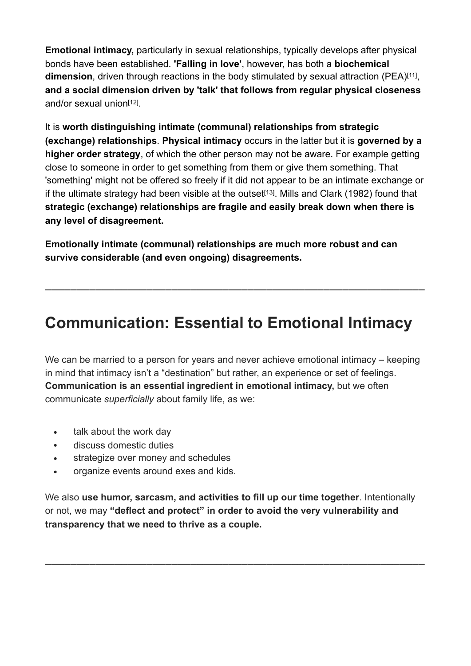**Emotional intimacy,** particularly in sexual relationships, typically develops after physical bonds have been established. **'Falling in love'**, however, has both a **biochemical dimension**, driven through reactions in the body stimulated by sexual attraction (PEA[\)\[11\]](https://psychology.wikia.org/wiki/Intimate_relationships#cite_note-10), **and a social dimension driven by 'talk' that follows from regular physical closeness** and/or sexual unio[n\[12\]](https://psychology.wikia.org/wiki/Intimate_relationships#cite_note-11).

It is **worth distinguishing intimate (communal) relationships from strategic (exchange) relationships**. **Physical intimacy** occurs in the latter but it is **governed by a higher order strategy**, of which the other person may not be aware. For example getting close to someone in order to get something from them or give them something. That 'something' might not be offered so freely if it did not appear to be an intimate exchange or if the ultimate strategy had been visible at the outset<sup>[\[13\]](https://psychology.wikia.org/wiki/Intimate_relationships#cite_note-12)</sup>. Mills and Clark (1982) found that **strategic (exchange) relationships are fragile and easily break down when there is any level of disagreement.** 

**Emotionally intimate (communal) relationships are much more robust and can survive considerable (and even ongoing) disagreements.**

### **Communication: Essential to Emotional Intimacy**

**\_\_\_\_\_\_\_\_\_\_\_\_\_\_\_\_\_\_\_\_\_\_\_\_\_\_\_\_\_\_\_\_\_\_\_\_\_\_\_\_\_\_\_\_\_\_\_\_\_\_\_\_\_\_\_\_\_\_\_\_**

We can be married to a person for years and never achieve emotional intimacy – keeping in mind that intimacy isn't a "destination" but rather, an experience or set of feelings. **Communication is an essential ingredient in emotional intimacy,** but we often communicate *superficially* about family life, as we:

- talk about the work day
- discuss domestic duties
- strategize over money and schedules
- organize events around exes and kids.

We also **use humor, sarcasm, and activities to fill up our time together**. Intentionally or not, we may **"deflect and protect" in order to avoid the very vulnerability and transparency that we need to thrive as a couple.** 

**\_\_\_\_\_\_\_\_\_\_\_\_\_\_\_\_\_\_\_\_\_\_\_\_\_\_\_\_\_\_\_\_\_\_\_\_\_\_\_\_\_\_\_\_\_\_\_\_\_\_\_\_\_\_\_\_\_\_\_\_**